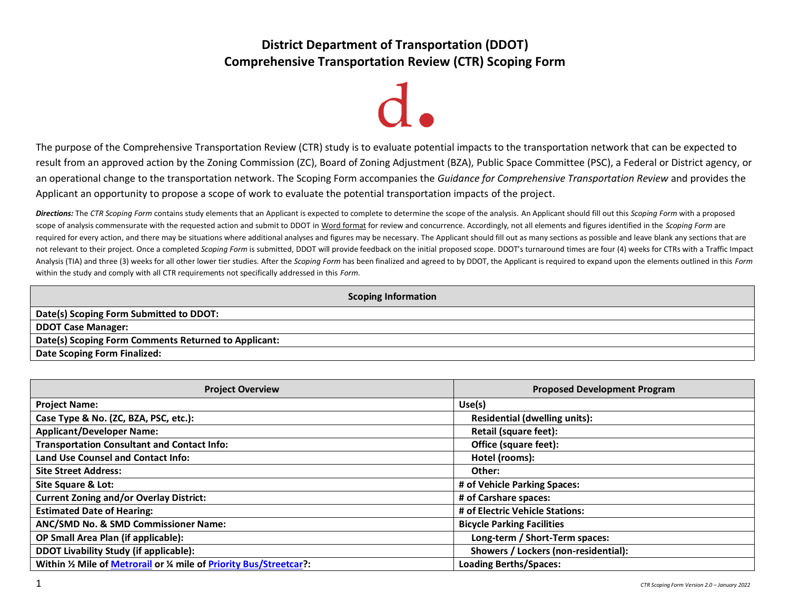# **District Department of Transportation (DDOT) Comprehensive Transportation Review (CTR) Scoping Form**

The purpose of the Comprehensive Transportation Review (CTR) study is to evaluate potential impacts to the transportation network that can be expected to result from an approved action by the Zoning Commission (ZC), Board of Zoning Adjustment (BZA), Public Space Committee (PSC), a Federal or District agency, or an operational change to the transportation network. The Scoping Form accompanies the *Guidance for Comprehensive Transportation Review* and provides the Applicant an opportunity to propose a scope of work to evaluate the potential transportation impacts of the project.

*Directions:* The *CTR Scoping Form* contains study elements that an Applicant is expected to complete to determine the scope of the analysis. An Applicant should fill out this *Scoping Form* with a proposed scope of analysis commensurate with the requested action and submit to DDOT in Word format for review and concurrence. Accordingly, not all elements and figures identified in the *Scoping Form* are required for every action, and there may be situations where additional analyses and figures may be necessary. The Applicant should fill out as many sections as possible and leave blank any sections that are not relevant to their project. Once a completed *Scoping Form* is submitted, DDOT will provide feedback on the initial proposed scope. DDOT's turnaround times are four (4) weeks for CTRs with a Traffic Impact Analysis (TIA) and three (3) weeks for all other lower tier studies. After the *Scoping Form* has been finalized and agreed to by DDOT, the Applicant is required to expand upon the elements outlined in this *Form* within the study and comply with all CTR requirements not specifically addressed in this *Form*.

| <b>Scoping Information</b>                           |
|------------------------------------------------------|
| Date(s) Scoping Form Submitted to DDOT:              |
| <b>DDOT Case Manager:</b>                            |
| Date(s) Scoping Form Comments Returned to Applicant: |
| Date Scoping Form Finalized:                         |

| <b>Project Overview</b>                                          | <b>Proposed Development Program</b>  |
|------------------------------------------------------------------|--------------------------------------|
| <b>Project Name:</b>                                             | Use(s)                               |
| Case Type & No. (ZC, BZA, PSC, etc.):                            | <b>Residential (dwelling units):</b> |
| <b>Applicant/Developer Name:</b>                                 | <b>Retail (square feet):</b>         |
| <b>Transportation Consultant and Contact Info:</b>               | Office (square feet):                |
| <b>Land Use Counsel and Contact Info:</b>                        | Hotel (rooms):                       |
| <b>Site Street Address:</b>                                      | Other:                               |
| Site Square & Lot:                                               | # of Vehicle Parking Spaces:         |
| <b>Current Zoning and/or Overlay District:</b>                   | # of Carshare spaces:                |
| <b>Estimated Date of Hearing:</b>                                | # of Electric Vehicle Stations:      |
| ANC/SMD No. & SMD Commissioner Name:                             | <b>Bicycle Parking Facilities</b>    |
| OP Small Area Plan (if applicable):                              | Long-term / Short-Term spaces:       |
| <b>DDOT Livability Study (if applicable):</b>                    | Showers / Lockers (non-residential): |
| Within % Mile of Metrorail or % mile of Priority Bus/Streetcar?: | <b>Loading Berths/Spaces:</b>        |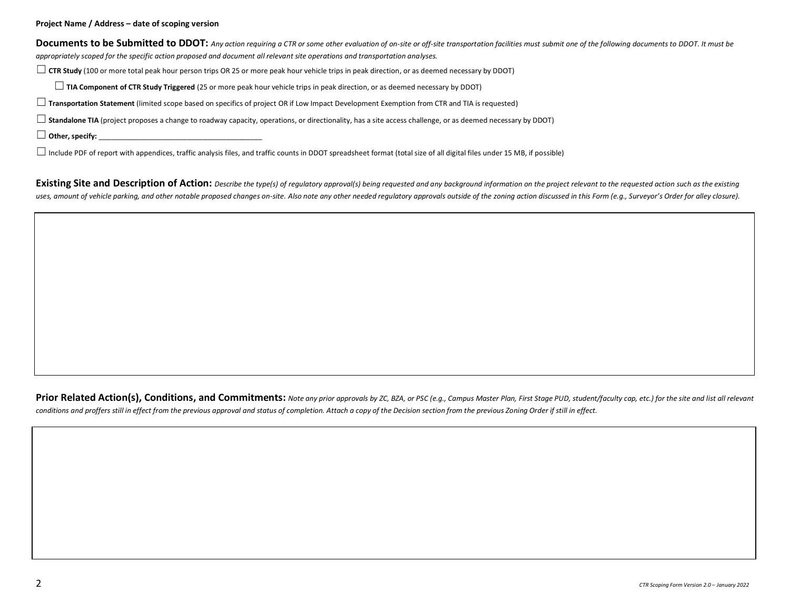**Project Name / Address – date of scoping version** 

Documents to be Submitted to DDOT: Any action requiring a CTR or some other evaluation of on-site or off-site transportation facilities must submit one of the following documents to DDOT. It must be *appropriately scoped for the specific action proposed and document all relevant site operations and transportation analyses.*

☐**CTR Study** (100 or more total peak hour person trips OR 25 or more peak hour vehicle trips in peak direction, or as deemed necessary by DDOT)

☐**TIA Component of CTR Study Triggered** (25 or more peak hour vehicle trips in peak direction, or as deemed necessary by DDOT)

☐**Transportation Statement** (limited scope based on specifics of project OR if Low Impact Development Exemption from CTR and TIA is requested)

☐**Standalone TIA** (project proposes a change to roadway capacity, operations, or directionality, has a site access challenge, or as deemed necessary by DDOT)

 $\Box$  Other, specify:  $\Box$ 

 $\Box$  Include PDF of report with appendices, traffic analysis files, and traffic counts in DDOT spreadsheet format (total size of all digital files under 15 MB, if possible)

**Existing Site and Description of Action:** Describe the type(s) of regulatory approval(s) being requested and any background information on the project relevant to the requested action such as the existing uses, amount of vehicle parking, and other notable proposed changes on-site. Also note any other needed requlatory approvals outside of the zoning action discussed in this Form (e.g., Surveyor's Order for alley closure).

Prior Related Action(s), Conditions, and Commitments: Note any prior approvals by ZC, BZA, or PSC (e.g., Campus Master Plan, First Stage PUD, student/faculty cap, etc.) for the site and list all relevant *conditions and proffers still in effect from the previous approval and status of completion. Attach a copy of the Decision section from the previous Zoning Order if still in effect.*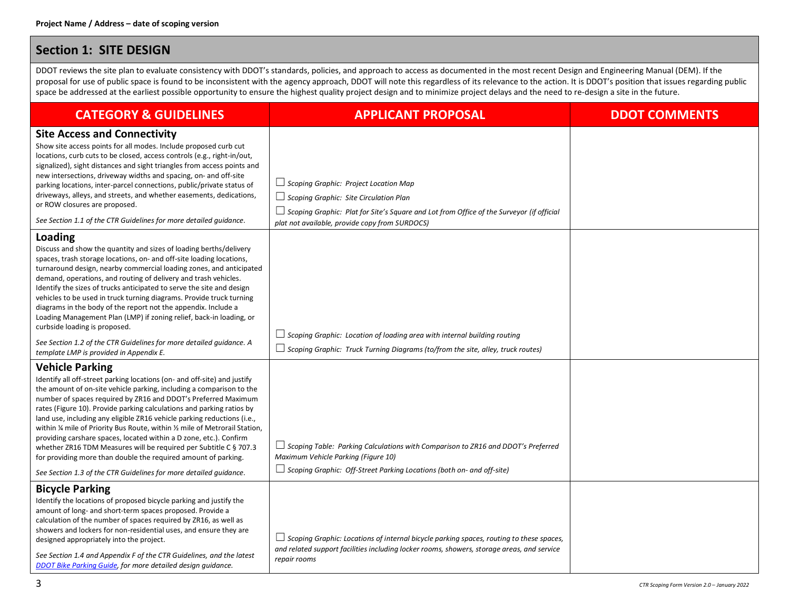### **Section 1: SITE DESIGN**

DDOT reviews the site plan to evaluate consistency with DDOT's standards, policies, and approach to access as documented in the most recent Design and Engineering Manual (DEM). If the proposal for use of public space is found to be inconsistent with the agency approach, DDOT will note this regardless of its relevance to the action. It is DDOT's position that issues regarding public space be addressed at the earliest possible opportunity to ensure the highest quality project design and to minimize project delays and the need to re-design a site in the future.

| <b>CATEGORY &amp; GUIDELINES</b>                                                                                                                                                                                                                                                                                                                                                                                                                                                                                                                                                                                                                                                          | <b>APPLICANT PROPOSAL</b>                                                                                                                                                                                                                          | <b>DDOT COMMENTS</b> |
|-------------------------------------------------------------------------------------------------------------------------------------------------------------------------------------------------------------------------------------------------------------------------------------------------------------------------------------------------------------------------------------------------------------------------------------------------------------------------------------------------------------------------------------------------------------------------------------------------------------------------------------------------------------------------------------------|----------------------------------------------------------------------------------------------------------------------------------------------------------------------------------------------------------------------------------------------------|----------------------|
| <b>Site Access and Connectivity</b><br>Show site access points for all modes. Include proposed curb cut<br>locations, curb cuts to be closed, access controls (e.g., right-in/out,<br>signalized), sight distances and sight triangles from access points and<br>new intersections, driveway widths and spacing, on- and off-site<br>parking locations, inter-parcel connections, public/private status of<br>driveways, alleys, and streets, and whether easements, dedications,<br>or ROW closures are proposed.<br>See Section 1.1 of the CTR Guidelines for more detailed quidance.                                                                                                   | $\Box$ Scoping Graphic: Project Location Map<br>$\Box$ Scoping Graphic: Site Circulation Plan<br>$\Box$ Scoping Graphic: Plat for Site's Square and Lot from Office of the Surveyor (if official<br>plat not available, provide copy from SURDOCS) |                      |
| Loading<br>Discuss and show the quantity and sizes of loading berths/delivery<br>spaces, trash storage locations, on- and off-site loading locations,<br>turnaround design, nearby commercial loading zones, and anticipated<br>demand, operations, and routing of delivery and trash vehicles.<br>Identify the sizes of trucks anticipated to serve the site and design<br>vehicles to be used in truck turning diagrams. Provide truck turning<br>diagrams in the body of the report not the appendix. Include a<br>Loading Management Plan (LMP) if zoning relief, back-in loading, or<br>curbside loading is proposed.                                                                | $\Box$ Scoping Graphic: Location of loading area with internal building routing                                                                                                                                                                    |                      |
| See Section 1.2 of the CTR Guidelines for more detailed guidance. A<br>template LMP is provided in Appendix E.                                                                                                                                                                                                                                                                                                                                                                                                                                                                                                                                                                            | $\Box$ Scoping Graphic: Truck Turning Diagrams (to/from the site, alley, truck routes)                                                                                                                                                             |                      |
| <b>Vehicle Parking</b><br>Identify all off-street parking locations (on- and off-site) and justify<br>the amount of on-site vehicle parking, including a comparison to the<br>number of spaces required by ZR16 and DDOT's Preferred Maximum<br>rates (Figure 10). Provide parking calculations and parking ratios by<br>land use, including any eligible ZR16 vehicle parking reductions (i.e.,<br>within % mile of Priority Bus Route, within % mile of Metrorail Station,<br>providing carshare spaces, located within a D zone, etc.). Confirm<br>whether ZR16 TDM Measures will be required per Subtitle C § 707.3<br>for providing more than double the required amount of parking. | $\Box$ Scoping Table: Parking Calculations with Comparison to ZR16 and DDOT's Preferred<br>Maximum Vehicle Parking (Figure 10)                                                                                                                     |                      |
| See Section 1.3 of the CTR Guidelines for more detailed quidance.                                                                                                                                                                                                                                                                                                                                                                                                                                                                                                                                                                                                                         | $\Box$ Scoping Graphic: Off-Street Parking Locations (both on- and off-site)                                                                                                                                                                       |                      |
| <b>Bicycle Parking</b><br>Identify the locations of proposed bicycle parking and justify the<br>amount of long- and short-term spaces proposed. Provide a<br>calculation of the number of spaces required by ZR16, as well as<br>showers and lockers for non-residential uses, and ensure they are<br>designed appropriately into the project.<br>See Section 1.4 and Appendix F of the CTR Guidelines, and the latest<br>DDOT Bike Parking Guide, for more detailed design guidance.                                                                                                                                                                                                     | $\Box$ Scoping Graphic: Locations of internal bicycle parking spaces, routing to these spaces,<br>and related support facilities including locker rooms, showers, storage areas, and service<br>repair rooms                                       |                      |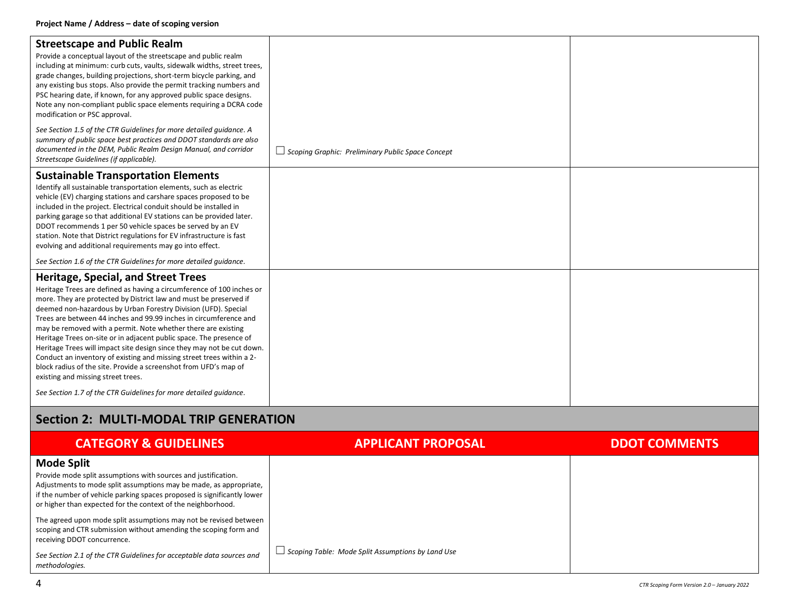| <b>Streetscape and Public Realm</b><br>Provide a conceptual layout of the streetscape and public realm<br>including at minimum: curb cuts, vaults, sidewalk widths, street trees,<br>grade changes, building projections, short-term bicycle parking, and<br>any existing bus stops. Also provide the permit tracking numbers and<br>PSC hearing date, if known, for any approved public space designs.<br>Note any non-compliant public space elements requiring a DCRA code<br>modification or PSC approval.<br>See Section 1.5 of the CTR Guidelines for more detailed quidance. A<br>summary of public space best practices and DDOT standards are also                                                                          |                                                          |  |
|--------------------------------------------------------------------------------------------------------------------------------------------------------------------------------------------------------------------------------------------------------------------------------------------------------------------------------------------------------------------------------------------------------------------------------------------------------------------------------------------------------------------------------------------------------------------------------------------------------------------------------------------------------------------------------------------------------------------------------------|----------------------------------------------------------|--|
| documented in the DEM, Public Realm Design Manual, and corridor<br>Streetscape Guidelines (if applicable).                                                                                                                                                                                                                                                                                                                                                                                                                                                                                                                                                                                                                           | $\Box$ Scoping Graphic: Preliminary Public Space Concept |  |
| <b>Sustainable Transportation Elements</b><br>Identify all sustainable transportation elements, such as electric<br>vehicle (EV) charging stations and carshare spaces proposed to be<br>included in the project. Electrical conduit should be installed in<br>parking garage so that additional EV stations can be provided later.<br>DDOT recommends 1 per 50 vehicle spaces be served by an EV<br>station. Note that District regulations for EV infrastructure is fast<br>evolving and additional requirements may go into effect.                                                                                                                                                                                               |                                                          |  |
| See Section 1.6 of the CTR Guidelines for more detailed quidance.                                                                                                                                                                                                                                                                                                                                                                                                                                                                                                                                                                                                                                                                    |                                                          |  |
| <b>Heritage, Special, and Street Trees</b><br>Heritage Trees are defined as having a circumference of 100 inches or<br>more. They are protected by District law and must be preserved if<br>deemed non-hazardous by Urban Forestry Division (UFD). Special<br>Trees are between 44 inches and 99.99 inches in circumference and<br>may be removed with a permit. Note whether there are existing<br>Heritage Trees on-site or in adjacent public space. The presence of<br>Heritage Trees will impact site design since they may not be cut down.<br>Conduct an inventory of existing and missing street trees within a 2-<br>block radius of the site. Provide a screenshot from UFD's map of<br>existing and missing street trees. |                                                          |  |
| See Section 1.7 of the CTR Guidelines for more detailed quidance.                                                                                                                                                                                                                                                                                                                                                                                                                                                                                                                                                                                                                                                                    |                                                          |  |

## **Section 2: MULTI-MODAL TRIP GENERATION**

| <b>CATEGORY &amp; GUIDELINES</b>                                                                                                                                                                                                                                                                     | <b>APPLICANT PROPOSAL</b>                                | <b>DDOT COMMENTS</b> |
|------------------------------------------------------------------------------------------------------------------------------------------------------------------------------------------------------------------------------------------------------------------------------------------------------|----------------------------------------------------------|----------------------|
| <b>Mode Split</b><br>Provide mode split assumptions with sources and justification.<br>Adjustments to mode split assumptions may be made, as appropriate,<br>if the number of vehicle parking spaces proposed is significantly lower<br>or higher than expected for the context of the neighborhood. |                                                          |                      |
| The agreed upon mode split assumptions may not be revised between<br>scoping and CTR submission without amending the scoping form and<br>receiving DDOT concurrence.                                                                                                                                 |                                                          |                      |
| See Section 2.1 of the CTR Guidelines for acceptable data sources and<br>methodologies.                                                                                                                                                                                                              | $\Box$ Scoping Table: Mode Split Assumptions by Land Use |                      |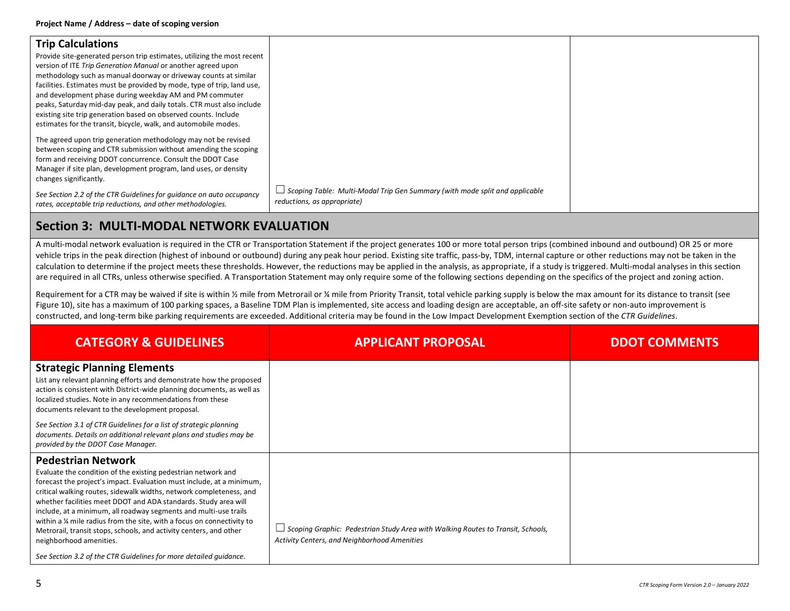| <b>Trip Calculations</b><br>Provide site-generated person trip estimates, utilizing the most recent<br>version of ITE Trip Generation Manual or another agreed upon<br>methodology such as manual doorway or driveway counts at similar<br>facilities. Estimates must be provided by mode, type of trip, land use,<br>and development phase during weekday AM and PM commuter<br>peaks, Saturday mid-day peak, and daily totals. CTR must also include<br>existing site trip generation based on observed counts. Include<br>estimates for the transit, bicycle, walk, and automobile modes. |                                                                                                                   |  |
|----------------------------------------------------------------------------------------------------------------------------------------------------------------------------------------------------------------------------------------------------------------------------------------------------------------------------------------------------------------------------------------------------------------------------------------------------------------------------------------------------------------------------------------------------------------------------------------------|-------------------------------------------------------------------------------------------------------------------|--|
| The agreed upon trip generation methodology may not be revised<br>between scoping and CTR submission without amending the scoping<br>form and receiving DDOT concurrence. Consult the DDOT Case<br>Manager if site plan, development program, land uses, or density<br>changes significantly.                                                                                                                                                                                                                                                                                                |                                                                                                                   |  |
| See Section 2.2 of the CTR Guidelines for quidance on auto occupancy<br>rates, acceptable trip reductions, and other methodologies.                                                                                                                                                                                                                                                                                                                                                                                                                                                          | $\Box$ Scoping Table: Multi-Modal Trip Gen Summary (with mode split and applicable<br>reductions, as appropriate) |  |

## **Section 3: MULTI-MODAL NETWORK EVALUATION**

A multi-modal network evaluation is required in the CTR or Transportation Statement if the project generates 100 or more total person trips (combined inbound and outbound) OR 25 or more vehicle trips in the peak direction (highest of inbound or outbound) during any peak hour period. Existing site traffic, pass-by, TDM, internal capture or other reductions may not be taken in the calculation to determine if the project meets these thresholds. However, the reductions may be applied in the analysis, as appropriate, if a study is triggered. Multi-modal analyses in this section are required in all CTRs, unless otherwise specified. A Transportation Statement may only require some of the following sections depending on the specifics of the project and zoning action.

Requirement for a CTR may be waived if site is within 1/2 mile from Metrorail or 1/4 mile from Priority Transit, total vehicle parking supply is below the max amount for its distance to transit (see Figure 10), site has a maximum of 100 parking spaces, a Baseline TDM Plan is implemented, site access and loading design are acceptable, an off-site safety or non-auto improvement is constructed, and long-term bike parking requirements are exceeded. Additional criteria may be found in the Low Impact Development Exemption section of the *CTR Guidelines*.

| <b>CATEGORY &amp; GUIDELINES</b>                                                                                                                                                                                                                                                                                                                                                                                                                                                                                                                              | <b>APPLICANT PROPOSAL</b>                                                                                                              | <b>DDOT COMMENTS</b> |
|---------------------------------------------------------------------------------------------------------------------------------------------------------------------------------------------------------------------------------------------------------------------------------------------------------------------------------------------------------------------------------------------------------------------------------------------------------------------------------------------------------------------------------------------------------------|----------------------------------------------------------------------------------------------------------------------------------------|----------------------|
| <b>Strategic Planning Elements</b><br>List any relevant planning efforts and demonstrate how the proposed<br>action is consistent with District-wide planning documents, as well as<br>localized studies. Note in any recommendations from these<br>documents relevant to the development proposal.                                                                                                                                                                                                                                                           |                                                                                                                                        |                      |
| See Section 3.1 of CTR Guidelines for a list of strategic planning<br>documents. Details on additional relevant plans and studies may be<br>provided by the DDOT Case Manager.                                                                                                                                                                                                                                                                                                                                                                                |                                                                                                                                        |                      |
| <b>Pedestrian Network</b><br>Evaluate the condition of the existing pedestrian network and<br>forecast the project's impact. Evaluation must include, at a minimum,<br>critical walking routes, sidewalk widths, network completeness, and<br>whether facilities meet DDOT and ADA standards. Study area will<br>include, at a minimum, all roadway segments and multi-use trails<br>within a 1/4 mile radius from the site, with a focus on connectivity to<br>Metrorail, transit stops, schools, and activity centers, and other<br>neighborhood amenities. | $\Box$ Scoping Graphic: Pedestrian Study Area with Walking Routes to Transit, Schools,<br>Activity Centers, and Neighborhood Amenities |                      |
| See Section 3.2 of the CTR Guidelines for more detailed quidance.                                                                                                                                                                                                                                                                                                                                                                                                                                                                                             |                                                                                                                                        |                      |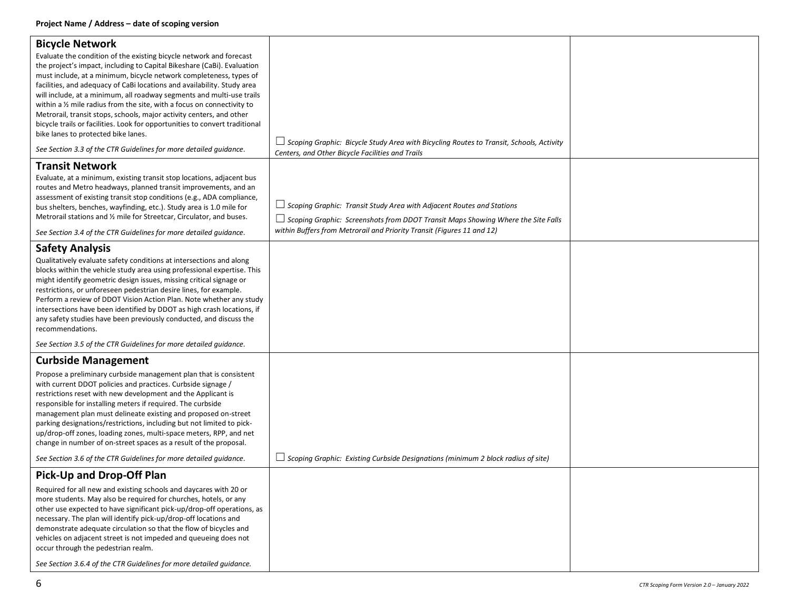| <b>Bicycle Network</b><br>Evaluate the condition of the existing bicycle network and forecast<br>the project's impact, including to Capital Bikeshare (CaBi). Evaluation<br>must include, at a minimum, bicycle network completeness, types of<br>facilities, and adequacy of CaBi locations and availability. Study area<br>will include, at a minimum, all roadway segments and multi-use trails<br>within a $\frac{1}{2}$ mile radius from the site, with a focus on connectivity to<br>Metrorail, transit stops, schools, major activity centers, and other<br>bicycle trails or facilities. Look for opportunities to convert traditional<br>bike lanes to protected bike lanes.<br>See Section 3.3 of the CTR Guidelines for more detailed quidance. | $\Box$ Scoping Graphic: Bicycle Study Area with Bicycling Routes to Transit, Schools, Activity                                                                                                                                                    |  |
|------------------------------------------------------------------------------------------------------------------------------------------------------------------------------------------------------------------------------------------------------------------------------------------------------------------------------------------------------------------------------------------------------------------------------------------------------------------------------------------------------------------------------------------------------------------------------------------------------------------------------------------------------------------------------------------------------------------------------------------------------------|---------------------------------------------------------------------------------------------------------------------------------------------------------------------------------------------------------------------------------------------------|--|
|                                                                                                                                                                                                                                                                                                                                                                                                                                                                                                                                                                                                                                                                                                                                                            | Centers, and Other Bicycle Facilities and Trails                                                                                                                                                                                                  |  |
| <b>Transit Network</b><br>Evaluate, at a minimum, existing transit stop locations, adjacent bus<br>routes and Metro headways, planned transit improvements, and an<br>assessment of existing transit stop conditions (e.g., ADA compliance,<br>bus shelters, benches, wayfinding, etc.). Study area is 1.0 mile for<br>Metrorail stations and 1/2 mile for Streetcar, Circulator, and buses.<br>See Section 3.4 of the CTR Guidelines for more detailed guidance.                                                                                                                                                                                                                                                                                          | $\Box$ Scoping Graphic: Transit Study Area with Adjacent Routes and Stations<br>$\Box$ Scoping Graphic: Screenshots from DDOT Transit Maps Showing Where the Site Falls<br>within Buffers from Metrorail and Priority Transit (Figures 11 and 12) |  |
| <b>Safety Analysis</b>                                                                                                                                                                                                                                                                                                                                                                                                                                                                                                                                                                                                                                                                                                                                     |                                                                                                                                                                                                                                                   |  |
| Qualitatively evaluate safety conditions at intersections and along<br>blocks within the vehicle study area using professional expertise. This<br>might identify geometric design issues, missing critical signage or<br>restrictions, or unforeseen pedestrian desire lines, for example.<br>Perform a review of DDOT Vision Action Plan. Note whether any study<br>intersections have been identified by DDOT as high crash locations, if<br>any safety studies have been previously conducted, and discuss the<br>recommendations.                                                                                                                                                                                                                      |                                                                                                                                                                                                                                                   |  |
| See Section 3.5 of the CTR Guidelines for more detailed guidance.                                                                                                                                                                                                                                                                                                                                                                                                                                                                                                                                                                                                                                                                                          |                                                                                                                                                                                                                                                   |  |
| <b>Curbside Management</b>                                                                                                                                                                                                                                                                                                                                                                                                                                                                                                                                                                                                                                                                                                                                 |                                                                                                                                                                                                                                                   |  |
| Propose a preliminary curbside management plan that is consistent<br>with current DDOT policies and practices. Curbside signage /<br>restrictions reset with new development and the Applicant is<br>responsible for installing meters if required. The curbside<br>management plan must delineate existing and proposed on-street<br>parking designations/restrictions, including but not limited to pick-<br>up/drop-off zones, loading zones, multi-space meters, RPP, and net<br>change in number of on-street spaces as a result of the proposal.                                                                                                                                                                                                     |                                                                                                                                                                                                                                                   |  |
| See Section 3.6 of the CTR Guidelines for more detailed guidance.                                                                                                                                                                                                                                                                                                                                                                                                                                                                                                                                                                                                                                                                                          | $\Box$ Scoping Graphic: Existing Curbside Designations (minimum 2 block radius of site)                                                                                                                                                           |  |
| Pick-Up and Drop-Off Plan                                                                                                                                                                                                                                                                                                                                                                                                                                                                                                                                                                                                                                                                                                                                  |                                                                                                                                                                                                                                                   |  |
| Required for all new and existing schools and daycares with 20 or<br>more students. May also be required for churches, hotels, or any<br>other use expected to have significant pick-up/drop-off operations, as<br>necessary. The plan will identify pick-up/drop-off locations and<br>demonstrate adequate circulation so that the flow of bicycles and<br>vehicles on adjacent street is not impeded and queueing does not<br>occur through the pedestrian realm.                                                                                                                                                                                                                                                                                        |                                                                                                                                                                                                                                                   |  |
| See Section 3.6.4 of the CTR Guidelines for more detailed quidance.                                                                                                                                                                                                                                                                                                                                                                                                                                                                                                                                                                                                                                                                                        |                                                                                                                                                                                                                                                   |  |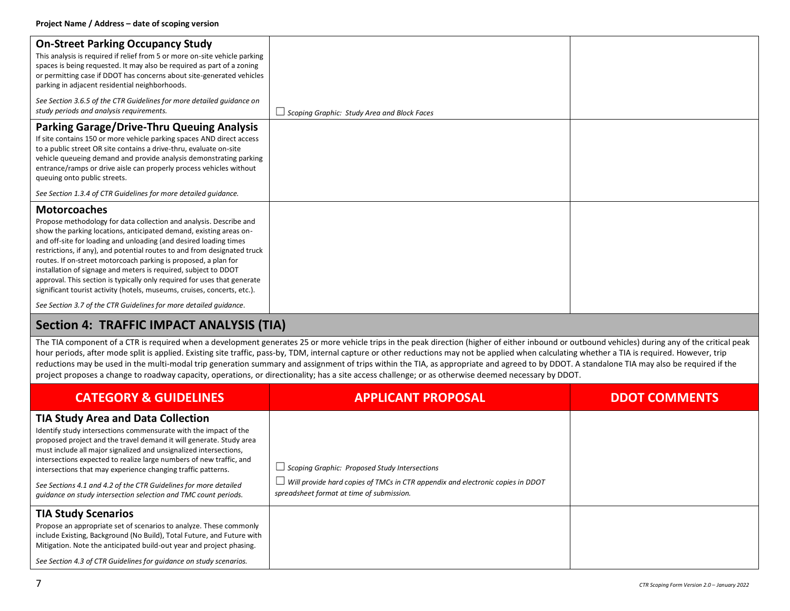| <b>On-Street Parking Occupancy Study</b><br>This analysis is required if relief from 5 or more on-site vehicle parking<br>spaces is being requested. It may also be required as part of a zoning<br>or permitting case if DDOT has concerns about site-generated vehicles<br>parking in adjacent residential neighborhoods.                                                                                                                                                                                                                                                                                    |                                                    |  |
|----------------------------------------------------------------------------------------------------------------------------------------------------------------------------------------------------------------------------------------------------------------------------------------------------------------------------------------------------------------------------------------------------------------------------------------------------------------------------------------------------------------------------------------------------------------------------------------------------------------|----------------------------------------------------|--|
| See Section 3.6.5 of the CTR Guidelines for more detailed quidance on<br>study periods and analysis requirements.                                                                                                                                                                                                                                                                                                                                                                                                                                                                                              | $\Box$ Scoping Graphic: Study Area and Block Faces |  |
| <b>Parking Garage/Drive-Thru Queuing Analysis</b><br>If site contains 150 or more vehicle parking spaces AND direct access<br>to a public street OR site contains a drive-thru, evaluate on-site<br>vehicle queueing demand and provide analysis demonstrating parking<br>entrance/ramps or drive aisle can properly process vehicles without<br>queuing onto public streets.                                                                                                                                                                                                                                  |                                                    |  |
| See Section 1.3.4 of CTR Guidelines for more detailed quidance.                                                                                                                                                                                                                                                                                                                                                                                                                                                                                                                                                |                                                    |  |
| <b>Motorcoaches</b><br>Propose methodology for data collection and analysis. Describe and<br>show the parking locations, anticipated demand, existing areas on-<br>and off-site for loading and unloading (and desired loading times<br>restrictions, if any), and potential routes to and from designated truck<br>routes. If on-street motorcoach parking is proposed, a plan for<br>installation of signage and meters is required, subject to DDOT<br>approval. This section is typically only required for uses that generate<br>significant tourist activity (hotels, museums, cruises, concerts, etc.). |                                                    |  |
| See Section 3.7 of the CTR Guidelines for more detailed guidance.                                                                                                                                                                                                                                                                                                                                                                                                                                                                                                                                              |                                                    |  |

# **Section 4: TRAFFIC IMPACT ANALYSIS (TIA)**

The TIA component of a CTR is required when a development generates 25 or more vehicle trips in the peak direction (higher of either inbound or outbound vehicles) during any of the critical peak hour periods, after mode split is applied. Existing site traffic, pass-by, TDM, internal capture or other reductions may not be applied when calculating whether a TIA is required. However, trip reductions may be used in the multi-modal trip generation summary and assignment of trips within the TIA, as appropriate and agreed to by DDOT. A standalone TIA may also be required if the project proposes a change to roadway capacity, operations, or directionality; has a site access challenge; or as otherwise deemed necessary by DDOT.

| <b>CATEGORY &amp; GUIDELINES</b>                                                                                                                                                                                                                                                                                                                                                                                                                                                                                                        | <b>APPLICANT PROPOSAL</b>                                                                                                                                                           | <b>DDOT COMMENTS</b> |
|-----------------------------------------------------------------------------------------------------------------------------------------------------------------------------------------------------------------------------------------------------------------------------------------------------------------------------------------------------------------------------------------------------------------------------------------------------------------------------------------------------------------------------------------|-------------------------------------------------------------------------------------------------------------------------------------------------------------------------------------|----------------------|
| <b>TIA Study Area and Data Collection</b><br>Identify study intersections commensurate with the impact of the<br>proposed project and the travel demand it will generate. Study area<br>must include all major signalized and unsignalized intersections,<br>intersections expected to realize large numbers of new traffic, and<br>intersections that may experience changing traffic patterns.<br>See Sections 4.1 and 4.2 of the CTR Guidelines for more detailed<br>quidance on study intersection selection and TMC count periods. | $\Box$ Scoping Graphic: Proposed Study Intersections<br>Will provide hard copies of TMCs in CTR appendix and electronic copies in DDOT<br>spreadsheet format at time of submission. |                      |
| <b>TIA Study Scenarios</b><br>Propose an appropriate set of scenarios to analyze. These commonly<br>include Existing, Background (No Build), Total Future, and Future with<br>Mitigation. Note the anticipated build-out year and project phasing.<br>See Section 4.3 of CTR Guidelines for quidance on study scenarios.                                                                                                                                                                                                                |                                                                                                                                                                                     |                      |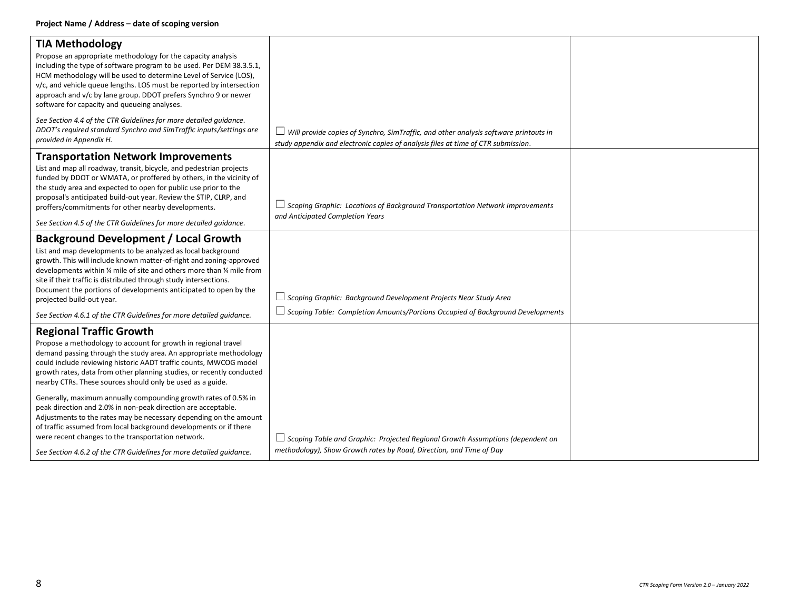| <b>TIA Methodology</b><br>Propose an appropriate methodology for the capacity analysis<br>including the type of software program to be used. Per DEM 38.3.5.1,<br>HCM methodology will be used to determine Level of Service (LOS),<br>v/c, and vehicle queue lengths. LOS must be reported by intersection<br>approach and v/c by lane group. DDOT prefers Synchro 9 or newer<br>software for capacity and queueing analyses.                                                                                        |                                                                                                                                                                                  |  |
|-----------------------------------------------------------------------------------------------------------------------------------------------------------------------------------------------------------------------------------------------------------------------------------------------------------------------------------------------------------------------------------------------------------------------------------------------------------------------------------------------------------------------|----------------------------------------------------------------------------------------------------------------------------------------------------------------------------------|--|
| See Section 4.4 of the CTR Guidelines for more detailed quidance.<br>DDOT's required standard Synchro and SimTraffic inputs/settings are<br>provided in Appendix H.                                                                                                                                                                                                                                                                                                                                                   | $\Box$ Will provide copies of Synchro, SimTraffic, and other analysis software printouts in<br>study appendix and electronic copies of analysis files at time of CTR submission. |  |
| <b>Transportation Network Improvements</b><br>List and map all roadway, transit, bicycle, and pedestrian projects<br>funded by DDOT or WMATA, or proffered by others, in the vicinity of<br>the study area and expected to open for public use prior to the<br>proposal's anticipated build-out year. Review the STIP, CLRP, and<br>proffers/commitments for other nearby developments.<br>See Section 4.5 of the CTR Guidelines for more detailed quidance.                                                          | $\Box$ Scoping Graphic: Locations of Background Transportation Network Improvements<br>and Anticipated Completion Years                                                          |  |
| <b>Background Development / Local Growth</b><br>List and map developments to be analyzed as local background<br>growth. This will include known matter-of-right and zoning-approved<br>developments within % mile of site and others more than % mile from<br>site if their traffic is distributed through study intersections.<br>Document the portions of developments anticipated to open by the<br>projected build-out year.<br>See Section 4.6.1 of the CTR Guidelines for more detailed quidance.               | $\Box$ Scoping Graphic: Background Development Projects Near Study Area<br>$\Box$ Scoping Table: Completion Amounts/Portions Occupied of Background Developments                 |  |
| <b>Regional Traffic Growth</b><br>Propose a methodology to account for growth in regional travel<br>demand passing through the study area. An appropriate methodology<br>could include reviewing historic AADT traffic counts, MWCOG model<br>growth rates, data from other planning studies, or recently conducted<br>nearby CTRs. These sources should only be used as a guide.<br>Generally, maximum annually compounding growth rates of 0.5% in<br>peak direction and 2.0% in non-peak direction are acceptable. |                                                                                                                                                                                  |  |
| Adjustments to the rates may be necessary depending on the amount<br>of traffic assumed from local background developments or if there<br>were recent changes to the transportation network.<br>See Section 4.6.2 of the CTR Guidelines for more detailed quidance.                                                                                                                                                                                                                                                   | $\Box$ Scoping Table and Graphic: Projected Regional Growth Assumptions (dependent on<br>methodology), Show Growth rates by Road, Direction, and Time of Day                     |  |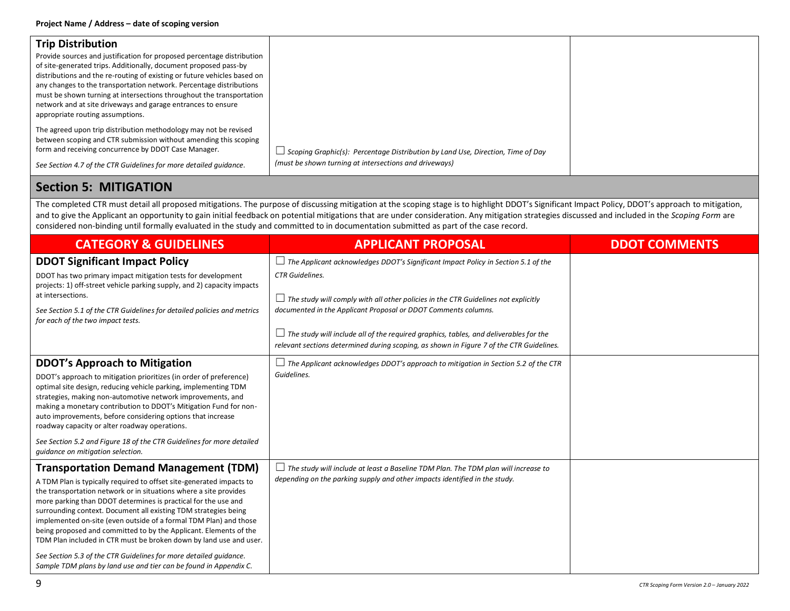| <b>Trip Distribution</b>                                                                                                                                                                                                                                                                                                                                                                                                                                                  |                                                                                 |  |
|---------------------------------------------------------------------------------------------------------------------------------------------------------------------------------------------------------------------------------------------------------------------------------------------------------------------------------------------------------------------------------------------------------------------------------------------------------------------------|---------------------------------------------------------------------------------|--|
| Provide sources and justification for proposed percentage distribution<br>of site-generated trips. Additionally, document proposed pass-by<br>distributions and the re-routing of existing or future vehicles based on<br>any changes to the transportation network. Percentage distributions<br>must be shown turning at intersections throughout the transportation<br>network and at site driveways and garage entrances to ensure<br>appropriate routing assumptions. |                                                                                 |  |
| The agreed upon trip distribution methodology may not be revised<br>between scoping and CTR submission without amending this scoping<br>form and receiving concurrence by DDOT Case Manager.                                                                                                                                                                                                                                                                              | Scoping Graphic(s): Percentage Distribution by Land Use, Direction, Time of Day |  |
| See Section 4.7 of the CTR Guidelines for more detailed quidance.                                                                                                                                                                                                                                                                                                                                                                                                         | (must be shown turning at intersections and driveways)                          |  |

### **Section 5: MITIGATION**

The completed CTR must detail all proposed mitigations. The purpose of discussing mitigation at the scoping stage is to highlight DDOT's Significant Impact Policy, DDOT's approach to mitigation, and to give the Applicant an opportunity to gain initial feedback on potential mitigations that are under consideration. Any mitigation strategies discussed and included in the *Scoping Form* are considered non-binding until formally evaluated in the study and committed to in documentation submitted as part of the case record.

| <b>CATEGORY &amp; GUIDELINES</b>                                                                                                                                                                                                                                                                                                                                                                                                                                                                                                                                                                                                                                                          | <b>APPLICANT PROPOSAL</b>                                                                                                                                                                                                                                                                                                                               | <b>DDOT COMMENTS</b> |
|-------------------------------------------------------------------------------------------------------------------------------------------------------------------------------------------------------------------------------------------------------------------------------------------------------------------------------------------------------------------------------------------------------------------------------------------------------------------------------------------------------------------------------------------------------------------------------------------------------------------------------------------------------------------------------------------|---------------------------------------------------------------------------------------------------------------------------------------------------------------------------------------------------------------------------------------------------------------------------------------------------------------------------------------------------------|----------------------|
| <b>DDOT Significant Impact Policy</b><br>DDOT has two primary impact mitigation tests for development<br>projects: 1) off-street vehicle parking supply, and 2) capacity impacts<br>at intersections.                                                                                                                                                                                                                                                                                                                                                                                                                                                                                     | $\Box$ The Applicant acknowledges DDOT's Significant Impact Policy in Section 5.1 of the<br><b>CTR</b> Guidelines.                                                                                                                                                                                                                                      |                      |
| See Section 5.1 of the CTR Guidelines for detailed policies and metrics<br>for each of the two impact tests.                                                                                                                                                                                                                                                                                                                                                                                                                                                                                                                                                                              | $\Box$ The study will comply with all other policies in the CTR Guidelines not explicitly<br>documented in the Applicant Proposal or DDOT Comments columns.<br>$\Box$ The study will include all of the required graphics, tables, and deliverables for the<br>relevant sections determined during scoping, as shown in Figure 7 of the CTR Guidelines. |                      |
| <b>DDOT's Approach to Mitigation</b><br>DDOT's approach to mitigation prioritizes (in order of preference)<br>optimal site design, reducing vehicle parking, implementing TDM<br>strategies, making non-automotive network improvements, and<br>making a monetary contribution to DDOT's Mitigation Fund for non-<br>auto improvements, before considering options that increase<br>roadway capacity or alter roadway operations.<br>See Section 5.2 and Figure 18 of the CTR Guidelines for more detailed<br>quidance on mitigation selection.                                                                                                                                           | $\Box$ The Applicant acknowledges DDOT's approach to mitigation in Section 5.2 of the CTR<br>Guidelines.                                                                                                                                                                                                                                                |                      |
| <b>Transportation Demand Management (TDM)</b><br>A TDM Plan is typically required to offset site-generated impacts to<br>the transportation network or in situations where a site provides<br>more parking than DDOT determines is practical for the use and<br>surrounding context. Document all existing TDM strategies being<br>implemented on-site (even outside of a formal TDM Plan) and those<br>being proposed and committed to by the Applicant. Elements of the<br>TDM Plan included in CTR must be broken down by land use and user.<br>See Section 5.3 of the CTR Guidelines for more detailed quidance.<br>Sample TDM plans by land use and tier can be found in Appendix C. | $\Box$ The study will include at least a Baseline TDM Plan. The TDM plan will increase to<br>depending on the parking supply and other impacts identified in the study.                                                                                                                                                                                 |                      |